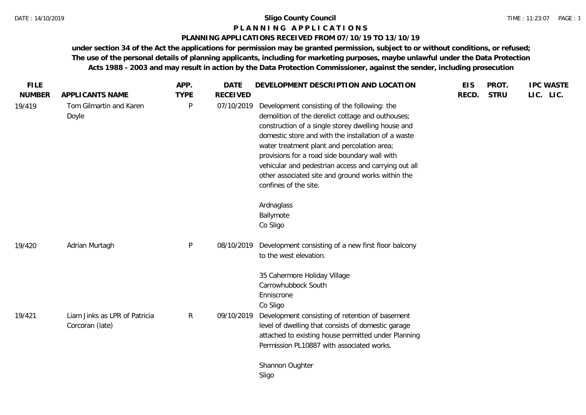#### **P L A N N I N G A P P L I C A T I O N S**

#### **PLANNING APPLICATIONS RECEIVED FROM 07/10/19 TO 13/10/19**

**under section 34 of the Act the applications for permission may be granted permission, subject to or without conditions, or refused; The use of the personal details of planning applicants, including for marketing purposes, maybe unlawful under the Data Protection Acts 1988 - 2003 and may result in action by the Data Protection Commissioner, against the sender, including prosecution**

| <b>FILE</b><br><b>NUMBER</b> | APPLICANTS NAME                                  | APP.<br><b>TYPE</b> | <b>DATE</b><br><b>RECEIVED</b> | DEVELOPMENT DESCRIPTION AND LOCATION                                                                                                                                                                                                                                                                                                                                                                                                                                            | <b>EIS</b><br>RECD. | PROT.<br><b>STRU</b> | <b>IPC WASTE</b><br>LIC. LIC. |
|------------------------------|--------------------------------------------------|---------------------|--------------------------------|---------------------------------------------------------------------------------------------------------------------------------------------------------------------------------------------------------------------------------------------------------------------------------------------------------------------------------------------------------------------------------------------------------------------------------------------------------------------------------|---------------------|----------------------|-------------------------------|
| 19/419                       | Tom Gilmartin and Karen<br>Doyle                 | $\mathsf{P}$        | 07/10/2019                     | Development consisting of the following: the<br>demolition of the derelict cottage and outhouses;<br>construction of a single storey dwelling house and<br>domestic store and with the installation of a waste<br>water treatment plant and percolation area;<br>provisions for a road side boundary wall with<br>vehicular and pedestrian access and carrying out all<br>other associated site and ground works within the<br>confines of the site.<br>Ardnaglass<br>Ballymote |                     |                      |                               |
| 19/420                       | Adrian Murtagh                                   | P                   | 08/10/2019                     | Co Sligo<br>Development consisting of a new first floor balcony<br>to the west elevation.                                                                                                                                                                                                                                                                                                                                                                                       |                     |                      |                               |
| 19/421                       | Liam Jinks as LPR of Patricia<br>Corcoran (late) | $\mathsf{R}$        | 09/10/2019                     | 35 Cahermore Holiday Village<br>Carrowhubbock South<br>Enniscrone<br>Co Sligo<br>Development consisting of retention of basement<br>level of dwelling that consists of domestic garage<br>attached to existing house permitted under Planning                                                                                                                                                                                                                                   |                     |                      |                               |
|                              |                                                  |                     |                                | Permission PL10887 with associated works.<br>Shannon Oughter<br>Sligo                                                                                                                                                                                                                                                                                                                                                                                                           |                     |                      |                               |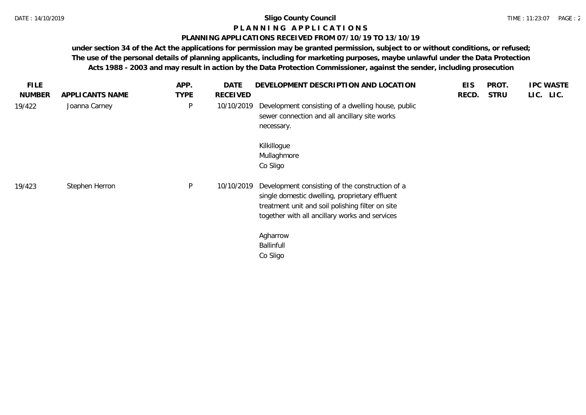## **P L A N N I N G A P P L I C A T I O N S**

## **PLANNING APPLICATIONS RECEIVED FROM 07/10/19 TO 13/10/19**

**under section 34 of the Act the applications for permission may be granted permission, subject to or without conditions, or refused; The use of the personal details of planning applicants, including for marketing purposes, maybe unlawful under the Data Protection Acts 1988 - 2003 and may result in action by the Data Protection Commissioner, against the sender, including prosecution**

| <b>FILE</b>   |                 | APP.         | <b>DATE</b>     | DEVELOPMENT DESCRIPTION AND LOCATION                                                                                                                                                                    | <b>EIS</b> | PROT.       | <b>IPC WASTE</b> |
|---------------|-----------------|--------------|-----------------|---------------------------------------------------------------------------------------------------------------------------------------------------------------------------------------------------------|------------|-------------|------------------|
| <b>NUMBER</b> | APPLICANTS NAME | <b>TYPE</b>  | <b>RECEIVED</b> |                                                                                                                                                                                                         | RECD.      | <b>STRU</b> | LIC. LIC.        |
| 19/422        | Joanna Carney   | $\sf P$      | 10/10/2019      | Development consisting of a dwelling house, public<br>sewer connection and all ancillary site works<br>necessary.                                                                                       |            |             |                  |
|               |                 |              |                 | Kilkillogue<br>Mullaghmore<br>Co Sligo                                                                                                                                                                  |            |             |                  |
| 19/423        | Stephen Herron  | $\mathsf{P}$ | 10/10/2019      | Development consisting of the construction of a<br>single domestic dwelling, proprietary effluent<br>treatment unit and soil polishing filter on site<br>together with all ancillary works and services |            |             |                  |
|               |                 |              |                 | Agharrow<br><b>Ballinfull</b><br>Co Sligo                                                                                                                                                               |            |             |                  |
|               |                 |              |                 |                                                                                                                                                                                                         |            |             |                  |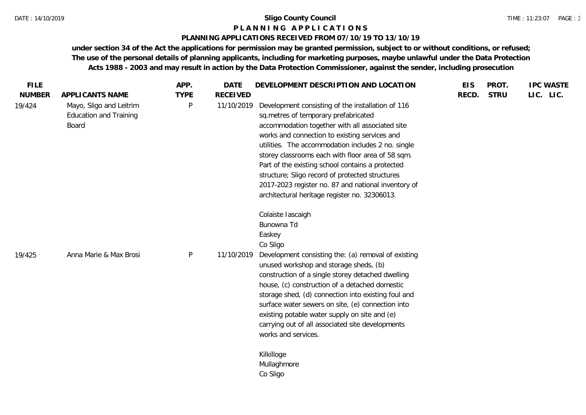#### **P L A N N I N G A P P L I C A T I O N S**

## **PLANNING APPLICATIONS RECEIVED FROM 07/10/19 TO 13/10/19**

**under section 34 of the Act the applications for permission may be granted permission, subject to or without conditions, or refused; The use of the personal details of planning applicants, including for marketing purposes, maybe unlawful under the Data Protection Acts 1988 - 2003 and may result in action by the Data Protection Commissioner, against the sender, including prosecution**

| <b>FILE</b>             |                                                                                             | APP.             | <b>DATE</b>                   | DEVELOPMENT DESCRIPTION AND LOCATION                                                                                                                                                                                                                                                                                                                                                                                                                                                                                    | <b>EIS</b> | PROT.       | <b>IPC WASTE</b> |
|-------------------------|---------------------------------------------------------------------------------------------|------------------|-------------------------------|-------------------------------------------------------------------------------------------------------------------------------------------------------------------------------------------------------------------------------------------------------------------------------------------------------------------------------------------------------------------------------------------------------------------------------------------------------------------------------------------------------------------------|------------|-------------|------------------|
| <b>NUMBER</b><br>19/424 | APPLICANTS NAME<br>Mayo, Sligo and Leitrim<br><b>Education and Training</b><br><b>Board</b> | <b>TYPE</b><br>P | <b>RECEIVED</b><br>11/10/2019 | Development consisting of the installation of 116<br>sq.metres of temporary prefabricated<br>accommodation together with all associated site<br>works and connection to existing services and<br>utilities. The accommodation includes 2 no. single<br>storey classrooms each with floor area of 58 sqm.<br>Part of the existing school contains a protected<br>structure; Sligo record of protected structures<br>2017-2023 register no. 87 and national inventory of<br>architectural heritage register no. 32306013. | RECD.      | <b>STRU</b> | LIC. LIC.        |
| 19/425                  | Anna Marie & Max Brosi                                                                      | P                | 11/10/2019                    | Colaiste Iascaigh<br>Bunowna Td<br>Easkey<br>Co Sligo<br>Development consisting the: (a) removal of existing<br>unused workshop and storage sheds, (b)<br>construction of a single storey detached dwelling<br>house, (c) construction of a detached domestic<br>storage shed, (d) connection into existing foul and<br>surface water sewers on site, (e) connection into<br>existing potable water supply on site and (e)<br>carrying out of all associated site developments<br>works and services.                   |            |             |                  |
|                         |                                                                                             |                  |                               | Kilkilloge<br>Mullaghmore<br>Co Sligo                                                                                                                                                                                                                                                                                                                                                                                                                                                                                   |            |             |                  |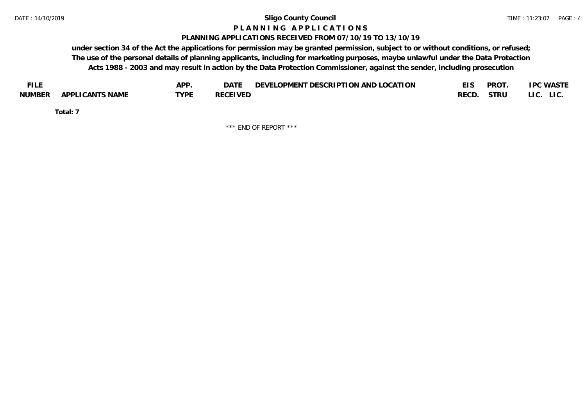#### **P L A N N I N G A P P L I C A T I O N S**

#### **PLANNING APPLICATIONS RECEIVED FROM 07/10/19 TO 13/10/19**

**under section 34 of the Act the applications for permission may be granted permission, subject to or without conditions, or refused; The use of the personal details of planning applicants, including for marketing purposes, maybe unlawful under the Data Protection Acts 1988 - 2003 and may result in action by the Data Protection Commissioner, against the sender, including prosecution**

| <b>FILE</b> |                 | APP. | DATE            | DEVELOPMENT DESCRIPTION AND LOCATION |       | <b>PROT</b> | <b>IPC WASTE</b> |
|-------------|-----------------|------|-----------------|--------------------------------------|-------|-------------|------------------|
| NUMBER      | APPLICANTS NAME | TVDF | <b>RECEIVED</b> |                                      | RECD. | STRU        | LI C.<br>LIC.    |

**Total: 7**

\*\*\* END OF REPORT \*\*\*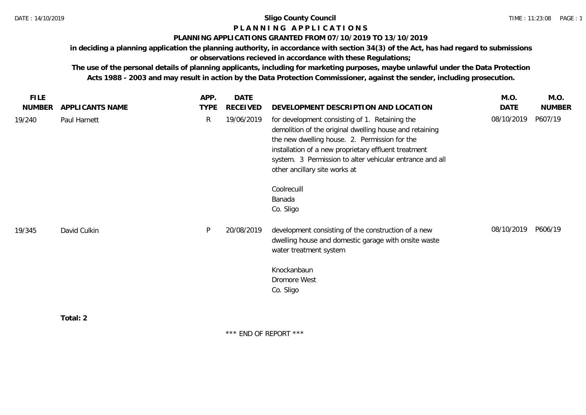# **P L A N N I N G A P P L I C A T I O N S**

# **PLANNING APPLICATIONS GRANTED FROM 07/10/2019 TO 13/10/2019**

**in deciding a planning application the planning authority, in accordance with section 34(3) of the Act, has had regard to submissions** 

# **or observations recieved in accordance with these Regulations;**

**The use of the personal details of planning applicants, including for marketing purposes, maybe unlawful under the Data Protection Acts 1988 - 2003 and may result in action by the Data Protection Commissioner, against the sender, including prosecution.**

| <b>FILE</b>   |                 | APP.         | DATE       |                                                                                                                                                                                                                                                                                                                 | M.O.       | M.O.          |
|---------------|-----------------|--------------|------------|-----------------------------------------------------------------------------------------------------------------------------------------------------------------------------------------------------------------------------------------------------------------------------------------------------------------|------------|---------------|
| <b>NUMBER</b> | APPLICANTS NAME | <b>TYPE</b>  | RECEIVED   | DEVELOPMENT DESCRIPTION AND LOCATION                                                                                                                                                                                                                                                                            | DATE       | <b>NUMBER</b> |
| 19/240        | Paul Harnett    | $\mathsf{R}$ | 19/06/2019 | for development consisting of 1. Retaining the<br>demolition of the original dwelling house and retaining<br>the new dwelling house. 2. Permission for the<br>installation of a new proprietary effluent treatment<br>system. 3 Permission to alter vehicular entrance and all<br>other ancillary site works at | 08/10/2019 | P607/19       |
|               |                 |              |            | Coolrecuill<br>Banada<br>Co. Sligo                                                                                                                                                                                                                                                                              |            |               |
| 19/345        | David Culkin    | P            | 20/08/2019 | development consisting of the construction of a new<br>dwelling house and domestic garage with onsite waste<br>water treatment system                                                                                                                                                                           | 08/10/2019 | P606/19       |
|               |                 |              |            | Knockanbaun<br>Dromore West                                                                                                                                                                                                                                                                                     |            |               |
|               |                 |              |            | Co. Sligo                                                                                                                                                                                                                                                                                                       |            |               |
|               | Total: 2        |              |            |                                                                                                                                                                                                                                                                                                                 |            |               |

\*\*\* END OF REPORT \*\*\*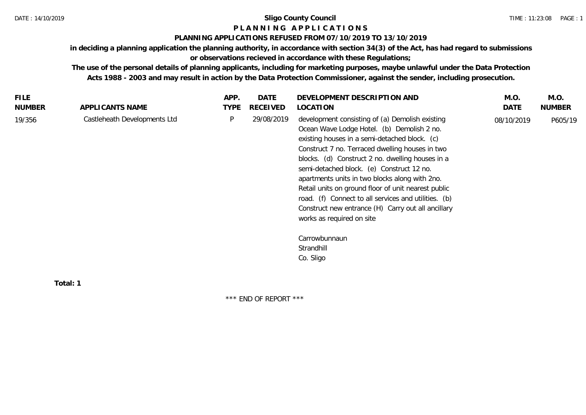# **P L A N N I N G A P P L I C A T I O N S**

# **PLANNING APPLICATIONS REFUSED FROM 07/10/2019 TO 13/10/2019**

**in deciding a planning application the planning authority, in accordance with section 34(3) of the Act, has had regard to submissions or observations recieved in accordance with these Regulations;**

**The use of the personal details of planning applicants, including for marketing purposes, maybe unlawful under the Data Protection Acts 1988 - 2003 and may result in action by the Data Protection Commissioner, against the sender, including prosecution.**

| <b>FILE</b>   |                              | APP.        | DATE       | DEVELOPMENT DESCRIPTION AND                                                                                                                                                                                                                                                                                                                                                                                                                                                                                                                            | M.O.       | M.O.          |
|---------------|------------------------------|-------------|------------|--------------------------------------------------------------------------------------------------------------------------------------------------------------------------------------------------------------------------------------------------------------------------------------------------------------------------------------------------------------------------------------------------------------------------------------------------------------------------------------------------------------------------------------------------------|------------|---------------|
| <b>NUMBER</b> | APPLICANTS NAME              | <b>TYPE</b> | RECEIVED   | LOCATION                                                                                                                                                                                                                                                                                                                                                                                                                                                                                                                                               | DATE       | <b>NUMBER</b> |
| 19/356        | Castleheath Developments Ltd | P           | 29/08/2019 | development consisting of (a) Demolish existing<br>Ocean Wave Lodge Hotel. (b) Demolish 2 no.<br>existing houses in a semi-detached block. (c)<br>Construct 7 no. Terraced dwelling houses in two<br>blocks. (d) Construct 2 no. dwelling houses in a<br>semi-detached block. (e) Construct 12 no.<br>apartments units in two blocks along with 2no.<br>Retail units on ground floor of unit nearest public<br>road. (f) Connect to all services and utilities. (b)<br>Construct new entrance (H) Carry out all ancillary<br>works as required on site | 08/10/2019 | P605/19       |
|               |                              |             |            | Carrowbunnaun<br>Strandhill<br>Co. Sligo                                                                                                                                                                                                                                                                                                                                                                                                                                                                                                               |            |               |

**Total: 1**

\*\*\* END OF REPORT \*\*\*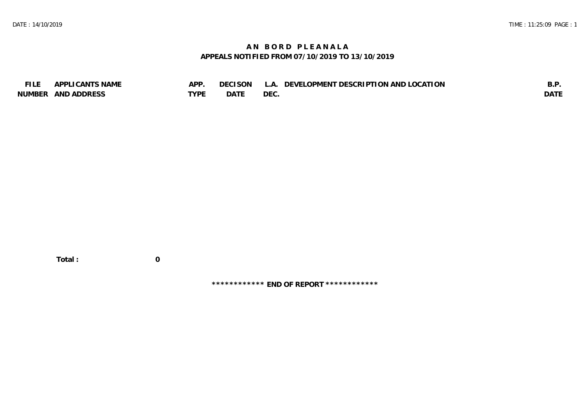# **A N B O R D P L E A N A L A APPEALS NOTIFIED FROM 07/10/2019 TO 13/10/2019**

| <b>FILE</b> | APPLICANTS NAME    | APP  | DECISON L   | L.A. DEVELOPMENT DESCRIPTION AND LOCATION | B.F         |
|-------------|--------------------|------|-------------|-------------------------------------------|-------------|
|             | NUMBER AND ADDRESS | TYPE | <b>DATE</b> | <b>DEC</b>                                | <b>DATE</b> |

 **Total : 0**

**\*\*\*\*\*\*\*\*\*\*\*\* END OF REPORT \*\*\*\*\*\*\*\*\*\*\*\***